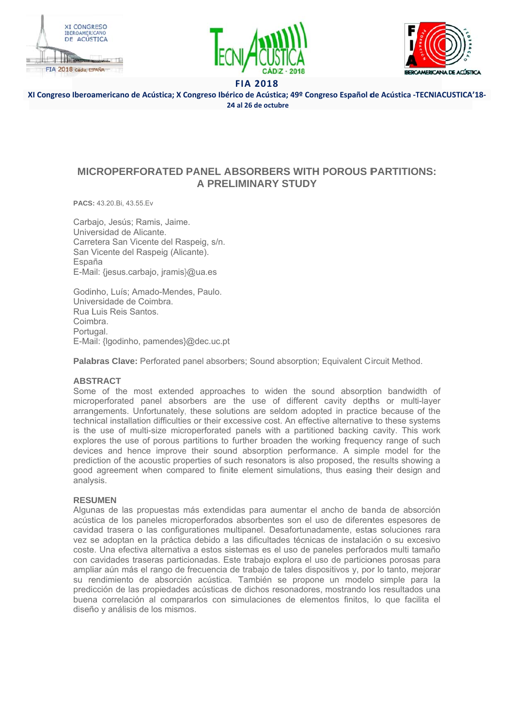





XI Congreso Iberoamericano de Acústica; X Congreso Ibérico de Acústica; 49º Congreso Español de Acústica -TECNIACUSTICA'18-24 al 26 de octubre

# **MICROPERFORATED PANEL ABSORBERS WITH POROUS PARTITIONS: A PRELIMINARY STUDY**

PACS: 43.20.Bi, 43.55.Ev

Carbajo, Jesús; Ramis, Jaime. Universidad de Alicante. Carretera San Vicente del Raspeig, s/n. San Vicente del Raspeig (Alicante). España E-Mail: {jesus.carbajo, jramis}@ua.es

Godinho, Luís: Amado-Mendes, Paulo, Universidade de Coimbra. Rua Luis Reis Santos Coimbra Portugal. E-Mail: {lgodinho, pamendes}@dec.uc.pt

Palabras Clave: Perforated panel absorbers; Sound absorption; Equivalent Circuit Method.

## **ARSTRACT**

Some of the most extended approaches to widen the sound absorption bandwidth of microperforated panel absorbers are the use of different cavity depths or multi-layer arrangements. Unfortunately, these solutions are seldom adopted in practice because of the technical installation difficulties or their excessive cost. An effective alternative to these systems is the use of multi-size microperforated panels with a partitioned backing cavity. This work explores the use of porous partitions to further broaden the working frequency range of such devices and hence improve their sound absorption performance. A simple model for the prediction of the acoustic properties of such resonators is also proposed, the results showing a good agreement when compared to finite element simulations, thus easing their design and analysis.

## **RESUMEN**

Algunas de las propuestas más extendidas para aumentar el ancho de banda de absorción acústica de los paneles microperforados absorbentes son el uso de diferentes espesores de cavidad trasera o las configurationes multipanel. Desafortunadamente, estas soluciones rara vez se adoptan en la práctica debido a las dificultades técnicas de instalación o su excesivo coste. Una efectiva alternativa a estos sistemas es el uso de paneles perforados multi tamaño con cavidades traseras particionadas. Este trabaio explora el uso de particiones porosas para ampliar aún más el rango de frecuencia de trabajo de tales dispositivos y, por lo tanto, mejorar su rendimiento de absorción acústica. También se propone un modelo simple para la predicción de las propiedades acústicas de dichos resonadores, mostrando los resultados una buena correlación al compararlos con simulaciones de elementos finitos, lo que facilita el diseño y análisis de los mismos.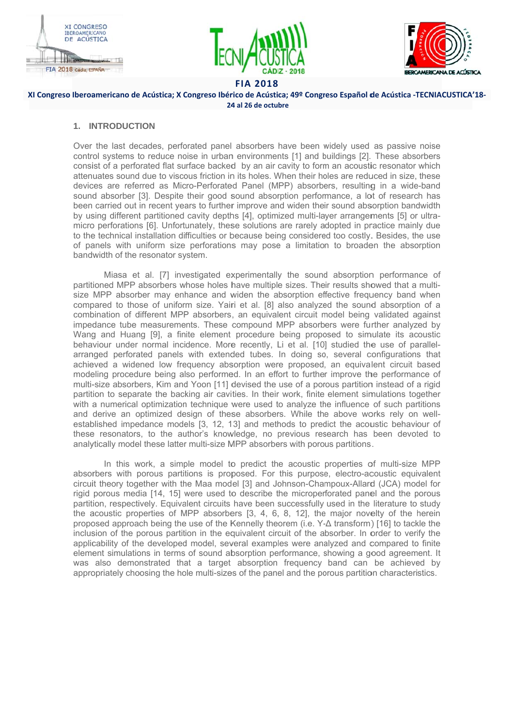





### XI Congreso Iberoamericano de Acústica; X Congreso Ibérico de Acústica; 49º Congreso Español de Acústica -TECNIACUSTICA'18-24 al 26 de octubre

### 1. INTRODUCTION

Over the last decades, perforated panel absorbers have been widely used as passive noise control systems to reduce noise in urban environments [1] and buildings [2]. These absorbers consist of a perforated flat surface backed by an air cavity to form an acoustic resonator which attenuates sound due to viscous friction in its holes. When their holes are reduced in size, these devices are referred as Micro-Perforated Panel (MPP) absorbers, resulting in a wide-band sound absorber [3]. Despite their good sound absorption performance, a lot of research has been carried out in recent vears to further improve and widen their sound absorption bandwidth by using different partitioned cavity depths [4], optimized multi-layer arrangements [5] or ultramicro perforations [6]. Unfortunately, these solutions are rarely adopted in practice mainly due to the technical installation difficulties or because being considered too costly. Besides, the use of panels with uniform size perforations may pose a limitation to broaden the absorption bandwidth of the resonator system.

Miasa et al. [7] investigated experimentally the sound absorption performance of partitioned MPP absorbers whose holes have multiple sizes. Their results showed that a multisize MPP absorber may enhance and widen the absorption effective frequency band when compared to those of uniform size. Yairi et al. [8] also analyzed the sound absorption of a combination of different MPP absorbers, an equivalent circuit model being validated against impedance tube measurements. These compound MPP absorbers were further analyzed by Wang and Huang [9], a finite element procedure being proposed to simulate its acoustic behaviour under normal incidence. More recently, Li et al. [10] studied the use of parallelarranged perforated panels with extended tubes. In doing so, several configurations that achieved a widened low frequency absorption were proposed, an equivalent circuit based modeling procedure being also performed. In an effort to further improve the performance of multi-size absorbers. Kim and Yoon [11] devised the use of a porous partition instead of a rigid partition to separate the backing air cavities. In their work, finite element simulations together with a numerical optimization technique were used to analyze the influence of such partitions and derive an optimized design of these absorbers. While the above works rely on wellestablished impedance models [3, 12, 13] and methods to predict the acoustic behaviour of these resonators, to the author's knowledge, no previous research has been devoted to analytically model these latter multi-size MPP absorbers with porous partitions.

In this work, a simple model to predict the acoustic properties of multi-size MPP absorbers with porous partitions is proposed. For this purpose, electro-acoustic equivalent circuit theory together with the Maa model [3] and Johnson-Champoux-Allard (JCA) model for rigid porous media [14, 15] were used to describe the microperforated panel and the porous partition, respectively. Equivalent circuits have been successfully used in the literature to study the acoustic properties of MPP absorbers [3, 4, 6, 8, 12], the major novelty of the herein proposed approach being the use of the Kennelly theorem (i.e. Y-∆ transform) [16] to tackle the inclusion of the porous partition in the equivalent circuit of the absorber. In order to verify the applicability of the developed model, several examples were analyzed and compared to finite element simulations in terms of sound absorption performance, showing a good agreement. It was also demonstrated that a target absorption frequency band can be achieved by appropriately choosing the hole multi-sizes of the panel and the porous partition characteristics.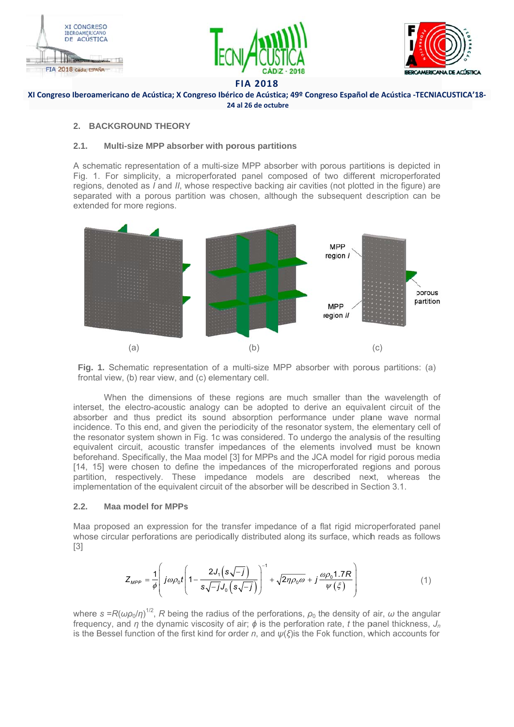





XI Congreso Iberoamericano de Acústica; X Congreso Ibérico de Acústica; 49º Congreso Español de Acústica -TECNIACUSTICA'18-24 al 26 de octubre

### 2. BACKGROUND THEORY

#### $2.1.$ Multi-size MPP absorber with porous partitions

A schematic representation of a multi-size MPP absorber with porous partitions is depicted in Fig. 1. For simplicity, a microperforated panel composed of two different microperforated regions, denoted as I and II, whose respective backing air cavities (not plotted in the figure) are separated with a porous partition was chosen, although the subsequent description can be extended for more regions.





When the dimensions of these regions are much smaller than the wavelength of interset, the electro-acoustic analogy can be adopted to derive an equivalent circuit of the absorber and thus predict its sound absorption performance under plane wave normal incidence. To this end, and given the periodicity of the resonator system, the elementary cell of the resonator system shown in Fig. 1c was considered. To undergo the analysis of the resulting equivalent circuit, acoustic transfer impedances of the elements involved must be known beforehand. Specifically, the Maa model [3] for MPPs and the JCA model for rigid porous media [14, 15] were chosen to define the impedances of the microperforated regions and porous partition, respectively. These impedance models are described next, whereas the implementation of the equivalent circuit of the absorber will be described in Section 3.1.

#### $2.2.$ **Maa model for MPPs**

Maa proposed an expression for the transfer impedance of a flat rigid microperforated panel whose circular perforations are periodically distributed along its surface, which reads as follows  $\lceil 3 \rceil$ 

$$
Z_{\mu\rho\rho} = \frac{1}{\phi} \left( j\omega \rho_0 t \left( 1 - \frac{2J_1 \left( s\sqrt{-j} \right)}{s\sqrt{-j}J_0 \left( s\sqrt{-j} \right)} \right)^{-1} + \sqrt{2\eta \rho_0 \omega} + j \frac{\omega \rho_0 1.7R}{\psi \left( \xi \right)} \right) \tag{1}
$$

where  $s = R(\omega \rho_0/\eta)^{1/2}$ , R being the radius of the perforations,  $\rho_0$  the density of air,  $\omega$  the angular frequency, and  $\eta$  the dynamic viscosity of air;  $\phi$  is the perforation rate, t the panel thickness,  $J_n$ is the Bessel function of the first kind for order n, and  $\psi(\xi)$  is the Fok function, which accounts for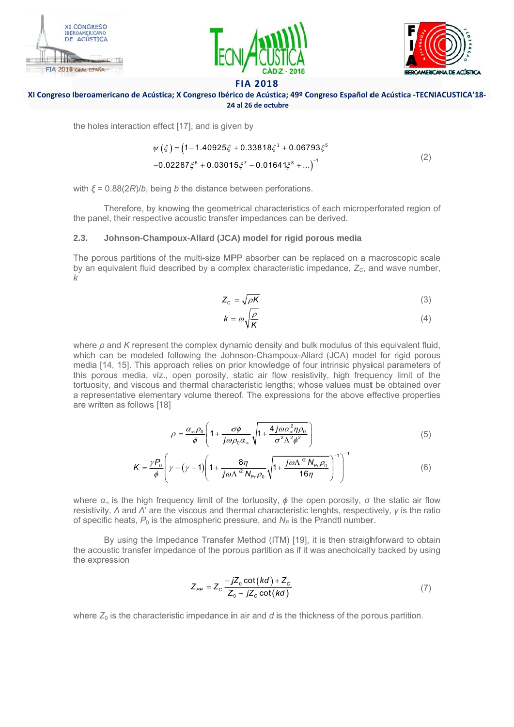





### XI Congreso Iberoamericano de Acústica; X Congreso Ibérico de Acústica; 49º Congreso Español de Acústica -TECNIACUSTICA'18-24 al 26 de octubre

the holes interaction effect [17], and is given by

$$
\psi(\xi) = (1 - 1.40925\xi + 0.33818\xi^{3} + 0.06793\xi^{5}
$$
  
-0.02287\xi^{6} + 0.03015\xi^{7} - 0.01641\xi^{8} + ...)^{-1} (2)

with  $\xi = 0.88(2R)/b$ , being b the distance between perforations.

Therefore, by knowing the geometrical characteristics of each microperforated region of the panel, their respective acoustic transfer impedances can be derived.

#### $2.3.$ Johnson-Champoux-Allard (JCA) model for rigid porous media

The porous partitions of the multi-size MPP absorber can be replaced on a macroscopic scale by an equivalent fluid described by a complex characteristic impedance,  $Z_c$ , and wave number,  $\mathbf{k}$ 

$$
Z_c = \sqrt{\rho K} \tag{3}
$$

$$
k = \omega \sqrt{\frac{\rho}{K}} \tag{4}
$$

where  $\rho$  and K represent the complex dynamic density and bulk modulus of this equivalent fluid. which can be modeled following the Johnson-Champoux-Allard (JCA) model for rigid porous media [14, 15]. This approach relies on prior knowledge of four intrinsic physical parameters of this porous media, viz., open porosity, static air flow resistivity, high frequency limit of the tortuosity, and viscous and thermal characteristic lengths; whose values must be obtained over a representative elementary volume thereof. The expressions for the above effective properties are written as follows [18]

$$
\rho = \frac{\alpha_{\infty} \rho_0}{\phi} \left( 1 + \frac{\sigma \phi}{j \omega \rho_0 \alpha_{\infty}} \sqrt{1 + \frac{4 j \omega \alpha_{\infty}^2 \eta \rho_0}{\sigma^2 \Lambda^2 \phi^2}} \right) \tag{5}
$$

$$
K = \frac{\gamma P_0}{\phi} \left( \gamma - (\gamma - 1) \left( 1 + \frac{8\eta}{j \omega \Lambda^{2} N_{\text{Pr}} \rho_0} \sqrt{1 + \frac{j \omega \Lambda^{2} N_{\text{Pr}} \rho_0}{16\eta}} \right)^{-1} \right)^{-1}
$$
(6)

where  $\alpha_{\infty}$  is the high frequency limit of the tortuosity,  $\phi$  the open porosity,  $\sigma$  the static air flow resistivity,  $\Lambda$  and  $\Lambda$ ' are the viscous and thermal characteristic lenghts, respectively,  $\gamma$  is the ratio of specific heats,  $P_0$  is the atmospheric pressure, and  $N_P$  is the Prandtl number.

By using the Impedance Transfer Method (ITM) [19], it is then straighforward to obtain the acoustic transfer impedance of the porous partition as if it was anechoically backed by using the expression

$$
Z_{PP} = Z_c \frac{-jZ_0 \cot(kd) + Z_c}{Z_0 - jZ_c \cot(kd)} \tag{7}
$$

where  $Z_0$  is the characteristic impedance in air and  $d$  is the thickness of the porous partition.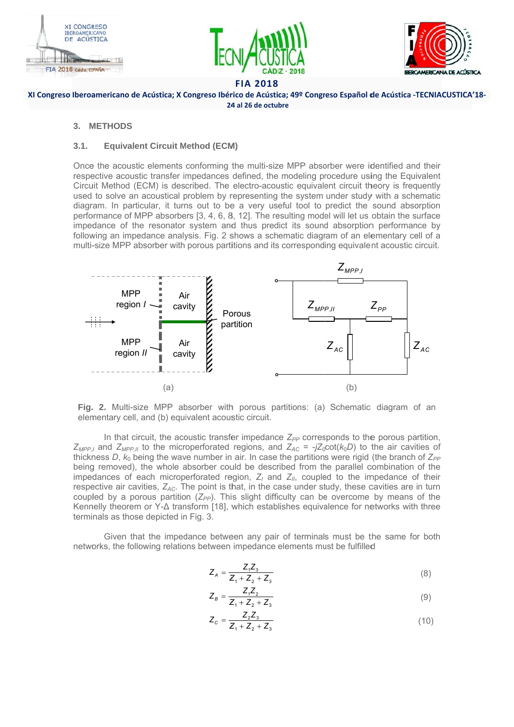





### XI Congreso Iberoamericano de Acústica; X Congreso Ibérico de Acústica; 49º Congreso Español de Acústica -TECNIACUSTICA'18-24 al 26 de octubre

### 3. METHODS

#### $3.1.$ **Equivalent Circuit Method (ECM)**

Once the acoustic elements conforming the multi-size MPP absorber were identified and their respective acoustic transfer impedances defined, the modeling procedure using the Equivalent Circuit Method (ECM) is described. The electro-acoustic equivalent circuit theory is frequently used to solve an acoustical problem by representing the system under study with a schematic diagram. In particular, it turns out to be a very useful tool to predict the sound absorption performance of MPP absorbers [3, 4, 6, 8, 12]. The resulting model will let us obtain the surface impedance of the resonator system and thus predict its sound absorption performance by following an impedance analysis. Fig. 2 shows a schematic diagram of an elementary cell of a multi-size MPP absorber with porous partitions and its corresponding equivalent acoustic circuit.



Fig. 2. Multi-size MPP absorber with porous partitions: (a) Schematic diagram of an elementary cell, and (b) equivalent acoustic circuit.

In that circuit, the acoustic transfer impedance  $Z_{PP}$  corresponds to the porous partition,  $Z_{MPP,I}$  and  $Z_{MPP,II}$  to the microperforated regions, and  $Z_{AC} = -jZ_0 \cot(k_0 D)$  to the air cavities of thickness D,  $k_0$  being the wave number in air. In case the partitions were rigid (the branch of  $Z_{PP}$ being removed), the whole absorber could be described from the parallel combination of the impedances of each microperforated region,  $Z_i$  and  $Z_{ii}$ , coupled to the impedance of their respective air cavities,  $Z_{AC}$ . The point is that, in the case under study, these cavities are in turn coupled by a porous partition  $(Z_{\rho\rho})$ . This slight difficulty can be overcome by means of the Kennelly theorem or Y-A transform [18], which establishes equivalence for networks with three terminals as those depicted in Fig. 3.

Given that the impedance between any pair of terminals must be the same for both networks, the following relations between impedance elements must be fulfilled

$$
Z_A = \frac{Z_1 Z_3}{Z_1 + Z_2 + Z_3} \tag{8}
$$

$$
Z_B = \frac{Z_1 Z_2}{Z_1 + Z_2 + Z_3} \tag{9}
$$

$$
Z_c = \frac{Z_2 Z_3}{Z_1 + Z_2 + Z_3}
$$
 (10)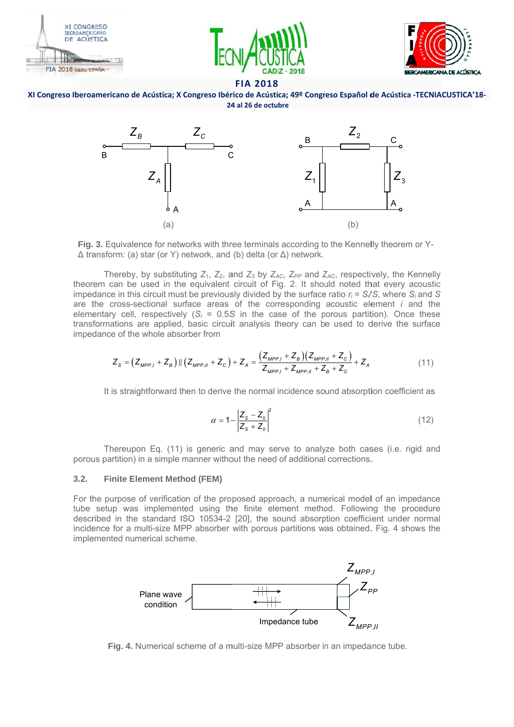





### XI Congreso Iberoamericano de Acústica; X Congreso Ibérico de Acústica; 49º Congreso Español de Acústica -TECNIACUSTICA'18-24 al 26 de octubre



Fig. 3. Equivalence for networks with three terminals according to the Kennelly theorem or Y- $\Delta$  transform: (a) star (or Y) network, and (b) delta (or  $\Delta$ ) network.

Thereby, by substituting  $Z_1$ ,  $Z_2$ , and  $Z_3$  by  $Z_{AC}$ ,  $Z_{PP}$  and  $Z_{AC}$ , respectively, the Kennelly theorem can be used in the equivalent circuit of Fig. 2. It should noted that every acoustic impedance in this circuit must be previously divided by the surface ratio  $r_i = S_i/S$ , where  $S_i$  and S are the cross-sectional surface areas of the corresponding acoustic element *i* and the elementary cell, respectively ( $S_i$  = 0.5S in the case of the porous partition). Once these transformations are applied, basic circuit analysis theory can be used to derive the surface impedance of the whole absorber from

$$
Z_{S} = (Z_{MPP,I} + Z_{B}) || (Z_{MPP,II} + Z_{C}) + Z_{A} = \frac{(Z_{MPP,I} + Z_{B})(Z_{MPP,II} + Z_{C})}{Z_{MPP,I} + Z_{MPP,II} + Z_{B} + Z_{C}}
$$
(11)

It is straightforward then to derive the normal incidence sound absorption coefficient as

$$
\alpha = 1 - \left| \frac{Z_s - Z_0}{Z_s + Z_0} \right|^2 \tag{12}
$$

Thereupon Eq. (11) is generic and may serve to analyze both cases (i.e. rigid and porous partition) in a simple manner without the need of additional corrections.

#### $32$ **Finite Element Method (FEM)**

For the purpose of verification of the proposed approach, a numerical model of an impedance tube setup was implemented using the finite element method. Following the procedure described in the standard ISO 10534-2 [20], the sound absorption coefficient under normal incidence for a multi-size MPP absorber with porous partitions was obtained. Fig. 4 shows the implemented numerical scheme.



Fig. 4. Numerical scheme of a multi-size MPP absorber in an impedance tube.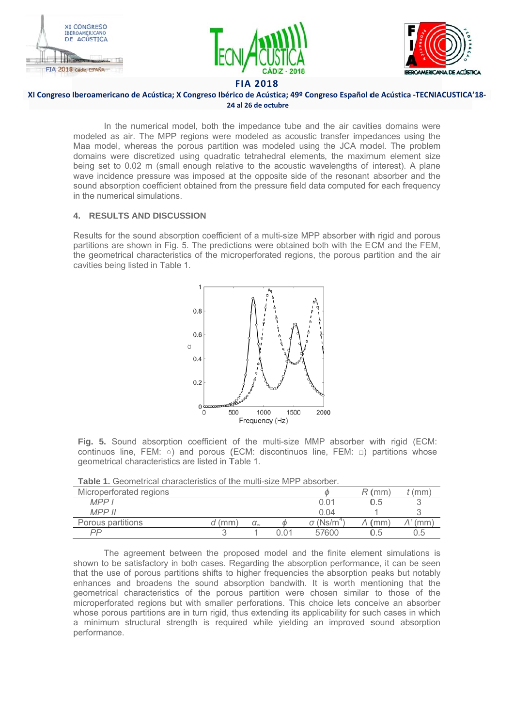





### XI Congreso Iberoamericano de Acústica; X Congreso Ibérico de Acústica; 49º Congreso Español de Acústica -TECNIACUSTICA'18-24 al 26 de octubre

In the numerical model, both the impedance tube and the air cavities domains were modeled as air. The MPP regions were modeled as acoustic transfer impedances using the Maa model, whereas the porous partition was modeled using the JCA model. The problem domains were discretized using quadratic tetrahedral elements, the maximum element size being set to 0.02 m (small enough relative to the acoustic wavelengths of interest). A plane wave incidence pressure was imposed at the opposite side of the resonant absorber and the sound absorption coefficient obtained from the pressure field data computed for each frequency in the numerical simulations.

## **4. RESULTS AND DISCUSSION**

Results for the sound absorption coefficient of a multi-size MPP absorber with rigid and porous partitions are shown in Fig. 5. The predictions were obtained both with the ECM and the FEM, the geometrical characteristics of the microperforated regions, the porous partition and the air cavities being listed in Table 1.



Fig. 5. Sound absorption coefficient of the multi-size MMP absorber with rigid (ECM: continuos line, FEM: o) and porous (ECM: discontinuos line, FEM:  $\Box$ ) partitions whose geometrical characteristics are listed in Table 1.

|  | <b>Table 1.</b> Geometrical characteristics of the multi-size MPP absorber. |  |  |
|--|-----------------------------------------------------------------------------|--|--|
|--|-----------------------------------------------------------------------------|--|--|

| Microperforated regions |      |                   |      |                         | (mm)                   | (mm) |
|-------------------------|------|-------------------|------|-------------------------|------------------------|------|
| MPPI                    |      |                   |      | 0.01                    | 0.5                    |      |
| <b>MPP II</b>           |      |                   |      | 0.04                    |                        |      |
| Porous partitions       | (mm) | $\alpha_{\infty}$ |      | $\sigma$ (Ns/m $\dot{}$ | $\mathsf{m}\mathsf{m}$ | (mm) |
| PP                      |      |                   | 0.01 | 57600                   | U.5                    | 0.5  |

The agreement between the proposed model and the finite element simulations is shown to be satisfactory in both cases. Regarding the absorption performance, it can be seen that the use of porous partitions shifts to higher frequencies the absorption peaks but notably enhances and broadens the sound absorption bandwith. It is worth mentioning that the geometrical characteristics of the porous partition were chosen similar to those of the microperforated regions but with smaller perforations. This choice lets conceive an absorber whose porous partitions are in turn rigid, thus extending its applicability for such cases in which a minimum structural strength is required while yielding an improved sound absorption performance.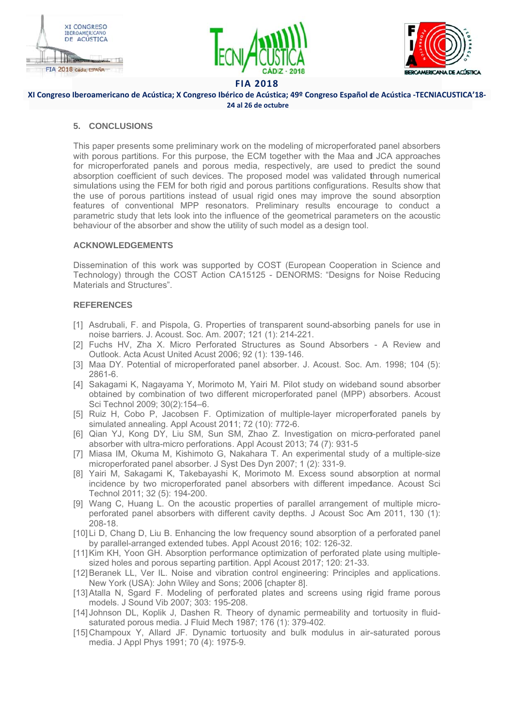





### XI Congreso Iberoamericano de Acústica; X Congreso Ibérico de Acústica; 49º Congreso Español de Acústica -TECNIACUSTICA'18-24 al 26 de octubre

## 5. CONCLUSIONS

This paper presents some preliminary work on the modeling of microperforated panel absorbers with porous partitions. For this purpose, the ECM together with the Maa and JCA approaches for microperforated panels and porous media, respectively, are used to predict the sound absorption coefficient of such devices. The proposed model was validated through numerical simulations using the FEM for both rigid and porous partitions configurations. Results show that the use of porous partitions instead of usual rigid ones may improve the sound absorption features of conventional MPP resonators. Preliminary results encourage to conduct a parametric study that lets look into the influence of the geometrical parameters on the acoustic behaviour of the absorber and show the utility of such model as a design tool.

### **ACKNOWLEDGEMENTS**

Dissemination of this work was supported by COST (European Cooperation in Science and Technology) through the COST Action CA15125 - DENORMS: "Designs for Noise Reducing Materials and Structures".

## **REFERENCES**

- [1] Asdrubali, F. and Pispola, G. Properties of transparent sound-absorbing panels for use in noise barriers. J. Acoust. Soc. Am. 2007; 121 (1): 214-221.
- [2] Fuchs HV, Zha X. Micro Perforated Structures as Sound Absorbers A Review and Outlook. Acta Acust United Acust 2006; 92 (1): 139-146.
- [3] Maa DY. Potential of microperforated panel absorber. J. Acoust. Soc. Am. 1998; 104 (5):  $2861 - 6$ .
- [4] Sakagami K, Nagayama Y, Morimoto M, Yairi M. Pilot study on wideband sound absorber obtained by combination of two different microperforated panel (MPP) absorbers. Acoust Sci Technol 2009; 30(2):154-6.
- [5] Ruiz H, Cobo P, Jacobsen F. Optimization of multiple-layer microperforated panels by simulated annealing. Appl Acoust 2011: 72 (10): 772-6.
- [6] Qian YJ, Kong DY, Liu SM, Sun SM, Zhao Z. Investigation on micro-perforated panel absorber with ultra-micro perforations. Appl Acoust 2013; 74 (7): 931-5
- [7] Miasa IM, Okuma M, Kishimoto G, Nakahara T. An experimental study of a multiple-size microperforated panel absorber. J Syst Des Dyn 2007; 1 (2): 331-9.
- [8] Yairi M, Sakagami K, Takebayashi K, Morimoto M. Excess sound absorption at normal incidence by two microperforated panel absorbers with different impedance. Acoust Sci Technol 2011; 32 (5): 194-200.
- [9] Wang C, Huang L. On the acoustic properties of parallel arrangement of multiple microperforated panel absorbers with different cavity depths. J Acoust Soc Am 2011, 130 (1): 208-18.
- [10] Li D, Chang D, Liu B. Enhancing the low frequency sound absorption of a perforated panel by parallel-arranged extended tubes. Appl Acoust 2016; 102: 126-32.
- [11] Kim KH, Yoon GH. Absorption performance optimization of perforated plate using multiplesized holes and porous separting partition. Appl Acoust 2017; 120: 21-33.
- [12] Beranek LL, Ver IL. Noise and vibration control engineering: Principles and applications. New York (USA): John Wiley and Sons; 2006 [chapter 8].
- [13] Atalla N, Sgard F. Modeling of perforated plates and screens using rigid frame porous models. J Sound Vib 2007; 303: 195-208.
- [14] Johnson DL, Koplik J, Dashen R. Theory of dynamic permeability and tortuosity in fluidsaturated porous media. J Fluid Mech 1987: 176 (1): 379-402.
- [15] Champoux Y, Allard JF. Dynamic tortuosity and bulk modulus in air-saturated porous media. J Appl Phys 1991; 70 (4): 1975-9.